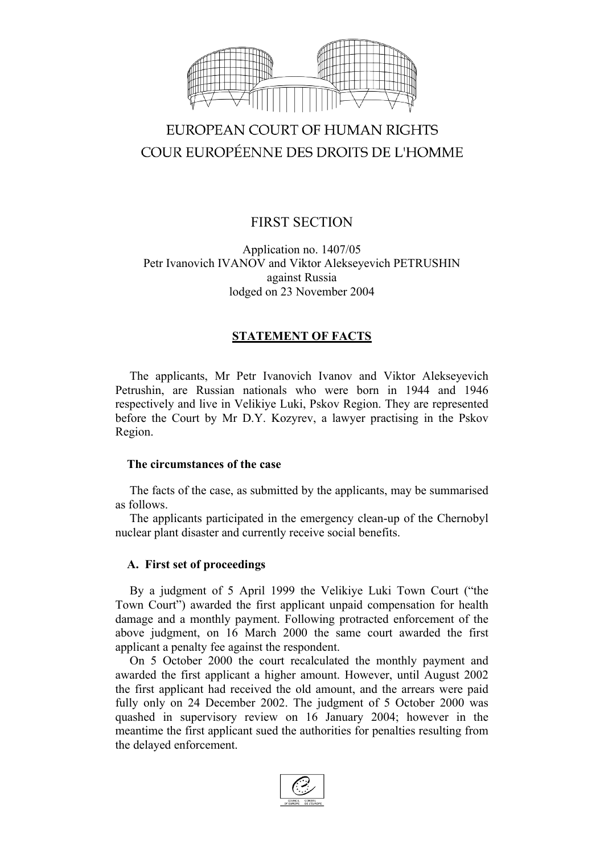

# EUROPEAN COURT OF HUMAN RIGHTS COUR EUROPÉENNE DES DROITS DE L'HOMME

# FIRST SECTION

# Application no. 1407/05 Petr Ivanovich IVANOV and Viktor Alekseyevich PETRUSHIN against Russia lodged on 23 November 2004

# **STATEMENT OF FACTS**

The applicants, Mr Petr Ivanovich Ivanov and Viktor Alekseyevich Petrushin, are Russian nationals who were born in 1944 and 1946 respectively and live in Velikiye Luki, Pskov Region. They are represented before the Court by Mr D.Y. Kozyrev, a lawyer practising in the Pskov Region.

### **The circumstances of the case**

The facts of the case, as submitted by the applicants, may be summarised as follows.

The applicants participated in the emergency clean-up of the Chernobyl nuclear plant disaster and currently receive social benefits.

### **A. First set of proceedings**

By a judgment of 5 April 1999 the Velikiye Luki Town Court ("the Town Court") awarded the first applicant unpaid compensation for health damage and a monthly payment. Following protracted enforcement of the above judgment, on 16 March 2000 the same court awarded the first applicant a penalty fee against the respondent.

On 5 October 2000 the court recalculated the monthly payment and awarded the first applicant a higher amount. However, until August 2002 the first applicant had received the old amount, and the arrears were paid fully only on 24 December 2002. The judgment of 5 October 2000 was quashed in supervisory review on 16 January 2004; however in the meantime the first applicant sued the authorities for penalties resulting from the delayed enforcement.

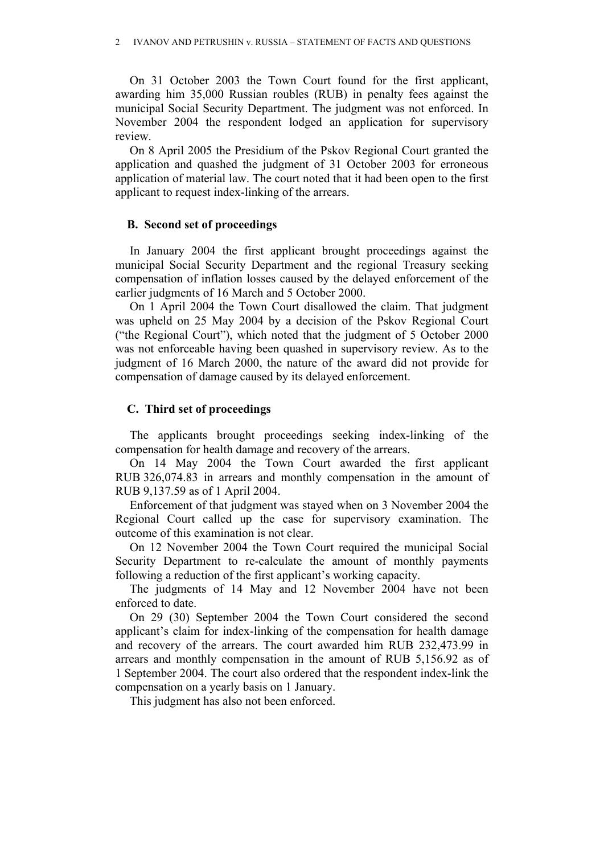On 31 October 2003 the Town Court found for the first applicant, awarding him 35,000 Russian roubles (RUB) in penalty fees against the municipal Social Security Department. The judgment was not enforced. In November 2004 the respondent lodged an application for supervisory review.

On 8 April 2005 the Presidium of the Pskov Regional Court granted the application and quashed the judgment of 31 October 2003 for erroneous application of material law. The court noted that it had been open to the first applicant to request index-linking of the arrears.

#### **B. Second set of proceedings**

In January 2004 the first applicant brought proceedings against the municipal Social Security Department and the regional Treasury seeking compensation of inflation losses caused by the delayed enforcement of the earlier judgments of 16 March and 5 October 2000.

On 1 April 2004 the Town Court disallowed the claim. That judgment was upheld on 25 May 2004 by a decision of the Pskov Regional Court ("the Regional Court"), which noted that the judgment of 5 October 2000 was not enforceable having been quashed in supervisory review. As to the judgment of 16 March 2000, the nature of the award did not provide for compensation of damage caused by its delayed enforcement.

#### **C. Third set of proceedings**

The applicants brought proceedings seeking index-linking of the compensation for health damage and recovery of the arrears.

On 14 May 2004 the Town Court awarded the first applicant RUB 326,074.83 in arrears and monthly compensation in the amount of RUB 9,137.59 as of 1 April 2004.

Enforcement of that judgment was stayed when on 3 November 2004 the Regional Court called up the case for supervisory examination. The outcome of this examination is not clear.

On 12 November 2004 the Town Court required the municipal Social Security Department to re-calculate the amount of monthly payments following a reduction of the first applicant's working capacity.

The judgments of 14 May and 12 November 2004 have not been enforced to date.

On 29 (30) September 2004 the Town Court considered the second applicant's claim for index-linking of the compensation for health damage and recovery of the arrears. The court awarded him RUB 232,473.99 in arrears and monthly compensation in the amount of RUB 5,156.92 as of 1 September 2004. The court also ordered that the respondent index-link the compensation on a yearly basis on 1 January.

This judgment has also not been enforced.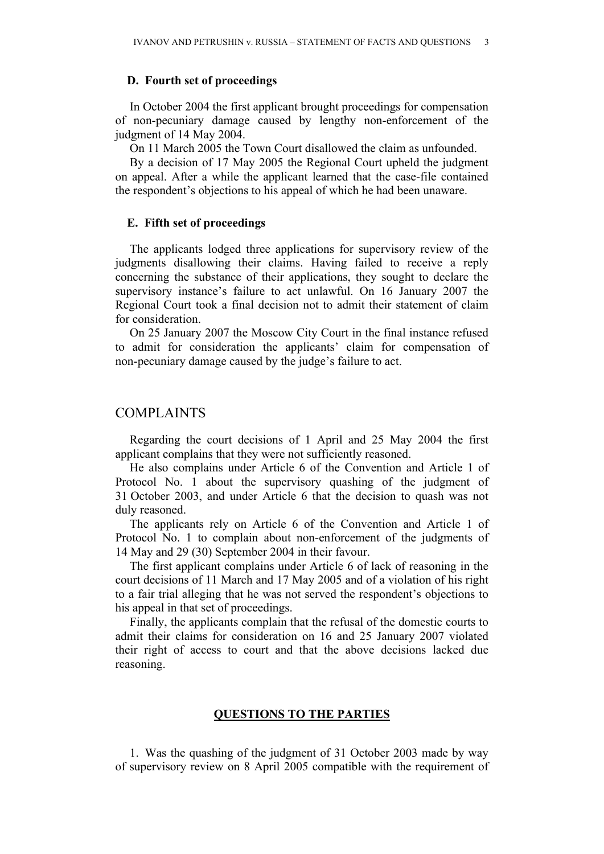#### **D. Fourth set of proceedings**

In October 2004 the first applicant brought proceedings for compensation of non-pecuniary damage caused by lengthy non-enforcement of the judgment of 14 May 2004.

On 11 March 2005 the Town Court disallowed the claim as unfounded.

By a decision of 17 May 2005 the Regional Court upheld the judgment on appeal. After a while the applicant learned that the case-file contained the respondent's objections to his appeal of which he had been unaware.

### **E. Fifth set of proceedings**

The applicants lodged three applications for supervisory review of the judgments disallowing their claims. Having failed to receive a reply concerning the substance of their applications, they sought to declare the supervisory instance's failure to act unlawful. On 16 January 2007 the Regional Court took a final decision not to admit their statement of claim for consideration.

On 25 January 2007 the Moscow City Court in the final instance refused to admit for consideration the applicants' claim for compensation of non-pecuniary damage caused by the judge's failure to act.

## COMPLAINTS

Regarding the court decisions of 1 April and 25 May 2004 the first applicant complains that they were not sufficiently reasoned.

He also complains under Article 6 of the Convention and Article 1 of Protocol No. 1 about the supervisory quashing of the judgment of 31 October 2003, and under Article 6 that the decision to quash was not duly reasoned.

The applicants rely on Article 6 of the Convention and Article 1 of Protocol No. 1 to complain about non-enforcement of the judgments of 14 May and 29 (30) September 2004 in their favour.

The first applicant complains under Article 6 of lack of reasoning in the court decisions of 11 March and 17 May 2005 and of a violation of his right to a fair trial alleging that he was not served the respondent's objections to his appeal in that set of proceedings.

Finally, the applicants complain that the refusal of the domestic courts to admit their claims for consideration on 16 and 25 January 2007 violated their right of access to court and that the above decisions lacked due reasoning.

#### **QUESTIONS TO THE PARTIES**

1. Was the quashing of the judgment of 31 October 2003 made by way of supervisory review on 8 April 2005 compatible with the requirement of